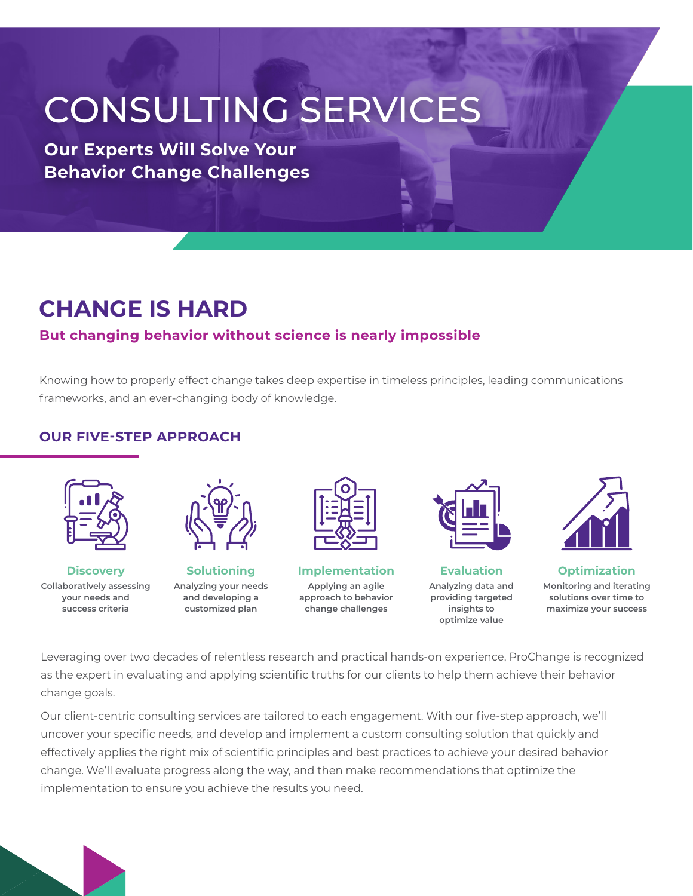# CONSULTING SERVICES

**Our Experts Will Solve Your Behavior Change Challenges**

# **CHANGE IS HARD**

# **But changing behavior without science is nearly impossible**

Knowing how to properly effect change takes deep expertise in timeless principles, leading communications frameworks, and an ever-changing body of knowledge.

### **OUR FIVE-STEP APPROACH**



**Discovery Collaboratively assessing your needs and success criteria**



**Solutioning Analyzing your needs and developing a customized plan**



**Implementation Applying an agile approach to behavior change challenges**



**Evaluation Analyzing data and providing targeted insights to optimize value**



**Optimization Monitoring and iterating solutions over time to maximize your success**

Leveraging over two decades of relentless research and practical hands-on experience, ProChange is recognized as the expert in evaluating and applying scientific truths for our clients to help them achieve their behavior change goals.

Our client-centric consulting services are tailored to each engagement. With our five-step approach, we'll uncover your specific needs, and develop and implement a custom consulting solution that quickly and effectively applies the right mix of scientific principles and best practices to achieve your desired behavior change. We'll evaluate progress along the way, and then make recommendations that optimize the implementation to ensure you achieve the results you need.